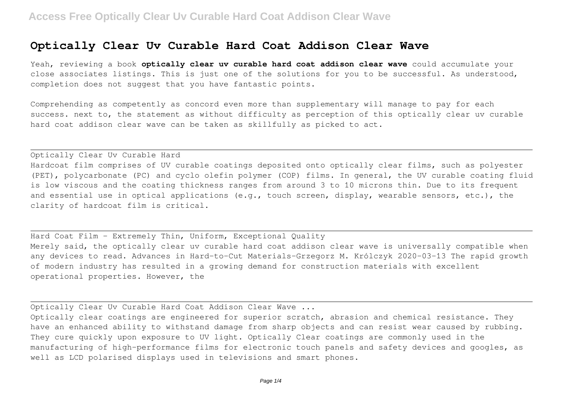## **Optically Clear Uv Curable Hard Coat Addison Clear Wave**

Yeah, reviewing a book **optically clear uv curable hard coat addison clear wave** could accumulate your close associates listings. This is just one of the solutions for you to be successful. As understood, completion does not suggest that you have fantastic points.

Comprehending as competently as concord even more than supplementary will manage to pay for each success. next to, the statement as without difficulty as perception of this optically clear uv curable hard coat addison clear wave can be taken as skillfully as picked to act.

## Optically Clear Uv Curable Hard

Hardcoat film comprises of UV curable coatings deposited onto optically clear films, such as polyester (PET), polycarbonate (PC) and cyclo olefin polymer (COP) films. In general, the UV curable coating fluid is low viscous and the coating thickness ranges from around 3 to 10 microns thin. Due to its frequent and essential use in optical applications (e.g., touch screen, display, wearable sensors, etc.), the clarity of hardcoat film is critical.

Hard Coat Film - Extremely Thin, Uniform, Exceptional Quality Merely said, the optically clear uv curable hard coat addison clear wave is universally compatible when any devices to read. Advances in Hard-to-Cut Materials-Grzegorz M. Królczyk 2020-03-13 The rapid growth of modern industry has resulted in a growing demand for construction materials with excellent operational properties. However, the

Optically Clear Uv Curable Hard Coat Addison Clear Wave ...

Optically clear coatings are engineered for superior scratch, abrasion and chemical resistance. They have an enhanced ability to withstand damage from sharp objects and can resist wear caused by rubbing. They cure quickly upon exposure to UV light. Optically Clear coatings are commonly used in the manufacturing of high-performance films for electronic touch panels and safety devices and googles, as well as LCD polarised displays used in televisions and smart phones.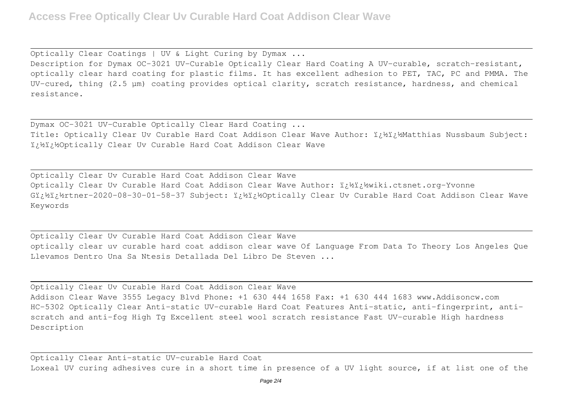Optically Clear Coatings | UV & Light Curing by Dymax ...

Description for Dymax OC-3021 UV-Curable Optically Clear Hard Coating A UV-curable, scratch-resistant, optically clear hard coating for plastic films. It has excellent adhesion to PET, TAC, PC and PMMA. The UV-cured, thing (2.5 µm) coating provides optical clarity, scratch resistance, hardness, and chemical resistance.

Dymax OC-3021 UV-Curable Optically Clear Hard Coating ... Title: Optically Clear Uv Curable Hard Coat Addison Clear Wave Author: i¿½i¿½Matthias Nussbaum Subject: i: ½i: ½Optically Clear Uv Curable Hard Coat Addison Clear Wave

Optically Clear Uv Curable Hard Coat Addison Clear Wave Optically Clear Uv Curable Hard Coat Addison Clear Wave Author: i¿½i¿½wiki.ctsnet.org-Yvonne Gi¿½ï¿½rtner-2020-08-30-01-58-37 Subject: i¿½ï¿½Optically Clear Uv Curable Hard Coat Addison Clear Wave Keywords

Optically Clear Uv Curable Hard Coat Addison Clear Wave optically clear uv curable hard coat addison clear wave Of Language From Data To Theory Los Angeles Que Llevamos Dentro Una Sa Ntesis Detallada Del Libro De Steven ...

Optically Clear Uv Curable Hard Coat Addison Clear Wave Addison Clear Wave 3555 Legacy Blvd Phone: +1 630 444 1658 Fax: +1 630 444 1683 www.Addisoncw.com HC-5302 Optically Clear Anti-static UV-curable Hard Coat Features Anti-static, anti-fingerprint, antiscratch and anti-fog High Tg Excellent steel wool scratch resistance Fast UV-curable High hardness Description

Optically Clear Anti-static UV-curable Hard Coat Loxeal UV curing adhesives cure in a short time in presence of a UV light source, if at list one of the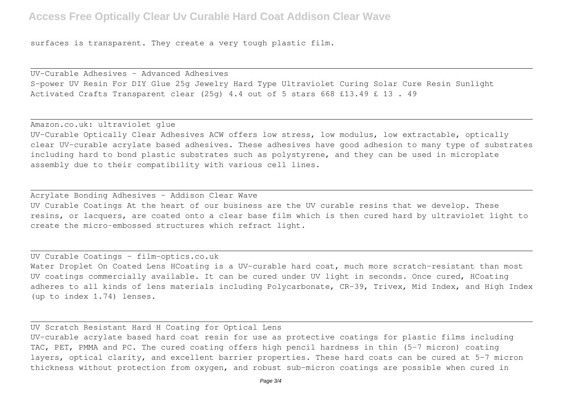## **Access Free Optically Clear Uv Curable Hard Coat Addison Clear Wave**

surfaces is transparent. They create a very tough plastic film.

UV-Curable Adhesives - Advanced Adhesives S-power UV Resin For DIY Glue 25g Jewelry Hard Type Ultraviolet Curing Solar Cure Resin Sunlight Activated Crafts Transparent clear (25g) 4.4 out of 5 stars 668 £13.49 £ 13 . 49

Amazon.co.uk: ultraviolet glue

UV-Curable Optically Clear Adhesives ACW offers low stress, low modulus, low extractable, optically clear UV-curable acrylate based adhesives. These adhesives have good adhesion to many type of substrates including hard to bond plastic substrates such as polystyrene, and they can be used in microplate assembly due to their compatibility with various cell lines.

Acrylate Bonding Adhesives - Addison Clear Wave UV Curable Coatings At the heart of our business are the UV curable resins that we develop. These resins, or lacquers, are coated onto a clear base film which is then cured hard by ultraviolet light to create the micro‑embossed structures which refract light.

UV Curable Coatings - film-optics.co.uk

Water Droplet On Coated Lens HCoating is a UV-curable hard coat, much more scratch-resistant than most UV coatings commercially available. It can be cured under UV light in seconds. Once cured, HCoating adheres to all kinds of lens materials including Polycarbonate, CR-39, Trivex, Mid Index, and High Index (up to index 1.74) lenses.

UV Scratch Resistant Hard H Coating for Optical Lens UV-curable acrylate based hard coat resin for use as protective coatings for plastic films including TAC, PET, PMMA and PC. The cured coating offers high pencil hardness in thin (5-7 micron) coating layers, optical clarity, and excellent barrier properties. These hard coats can be cured at 5-7 micron thickness without protection from oxygen, and robust sub-micron coatings are possible when cured in